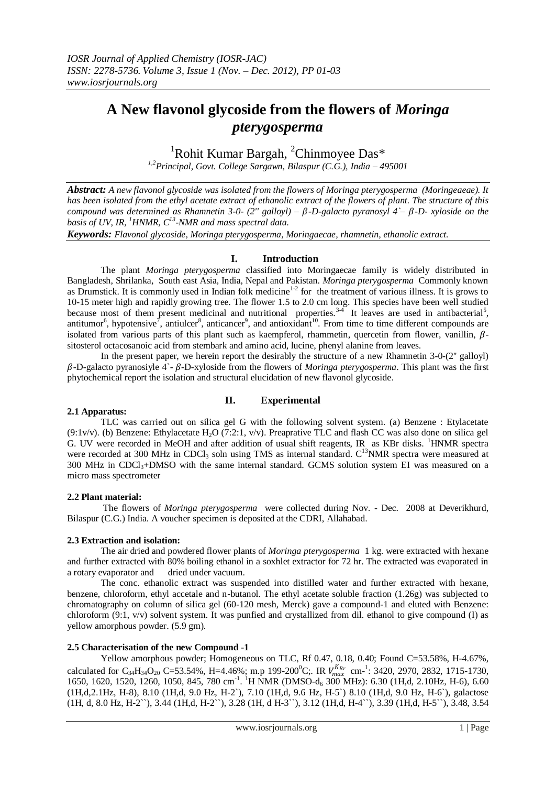# **A New flavonol glycoside from the flowers of** *Moringa pterygosperma*

<sup>1</sup>Rohit Kumar Bargah, <sup>2</sup>Chinmoyee Das\*

*1,2Principal, Govt. College Sargawn, Bilaspur (C.G.), India – 495001*

*Abstract: A new flavonol glycoside was isolated from the flowers of Moringa pterygosperma (Moringeaeae). It has been isolated from the ethyl acetate extract of ethanolic extract of the flowers of plant. The structure of this compound was determined as Rhamnetin 3-0-*  $(2'' \text{ gallovl}) - \beta$ -D-galacto pyranosyl  $4 - \beta$ -D- *xyloside* on the *basis of UV, IR, <sup>1</sup>HNMR, C<sup>13</sup> -NMR and mass spectral data.* 

*Keywords: Flavonol glycoside, Moringa pterygosperma, Moringaecae, rhamnetin, ethanolic extract.* 

## **I. Introduction**

The plant *Moringa pterygosperma* classified into Moringaecae family is widely distributed in Bangladesh, Shrilanka, South east Asia, India, Nepal and Pakistan. *Moringa pterygosperma* Commonly known as Drumstick. It is commonly used in Indian folk medicine<sup>1-2</sup> for the treatment of various illness. It is grows to 10-15 meter high and rapidly growing tree. The flower 1.5 to 2.0 cm long. This species have been well studied because most of them present medicinal and nutritional properties.<sup>34</sup> It leaves are used in antibacterial<sup>5</sup>, antitumor<sup>6</sup>, hypotensive<sup>7</sup>, antiulcer<sup>8</sup>, anticancer<sup>9</sup>, and antioxidant<sup>10</sup>. From time to time different compounds are isolated from various parts of this plant such as kaempferol, rhammetin, quercetin from flower, vanillin,  $\beta$ sitosterol octacosanoic acid from stembark and amino acid, lucine, phenyl alanine from leaves.

In the present paper, we herein report the desirably the structure of a new Rhamnetin 3-0-(2'' galloyl)  $\beta$ -D-galacto pyranosiyle 4<sup>-</sup>-  $\beta$ -D-xyloside from the flowers of *Moringa pterygosperma*. This plant was the first phytochemical report the isolation and structural elucidation of new flavonol glycoside.

## **2.1 Apparatus:**

## **II. Experimental**

TLC was carried out on silica gel G with the following solvent system. (a) Benzene : Etylacetate (9:1v/v). (b) Benzene: Ethylacetate H<sub>2</sub>O (7:2:1, v/v). Preaprative TLC and flash CC was also done on silica gel G. UV were recorded in MeOH and after addition of usual shift reagents, IR as KBr disks. <sup>1</sup>HNMR spectra were recorded at 300 MHz in CDCl<sub>3</sub> soln using TMS as internal standard. C<sup>13</sup>NMR spectra were measured at  $300$  MHz in CDCl<sub>3</sub>+DMSO with the same internal standard. GCMS solution system EI was measured on a micro mass spectrometer

## **2.2 Plant material:**

The flowers of *Moringa pterygosperma* were collected during Nov. - Dec. 2008 at Deverikhurd, Bilaspur (C.G.) India. A voucher specimen is deposited at the CDRI, Allahabad.

## **2.3 Extraction and isolation:**

The air dried and powdered flower plants of *Moringa pterygosperma* 1 kg. were extracted with hexane and further extracted with 80% boiling ethanol in a soxhlet extractor for 72 hr. The extracted was evaporated in a rotary evaporator and dried under vacuum.

The conc. ethanolic extract was suspended into distilled water and further extracted with hexane, benzene, chloroform, ethyl accetale and n-butanol. The ethyl acetate soluble fraction (1.26g) was subjected to chromatography on column of silica gel (60-120 mesh, Merck) gave a compound-1 and eluted with Benzene: chloroform (9:1, v/v) solvent system. It was punfied and crystallized from dil. ethanol to give compound (I) as yellow amorphous powder. (5.9 gm).

## **2.5 Characterisation of the new Compound -1**

Yellow amorphous powder; Homogeneous on TLC, Rf 0.47, 0.18, 0.40; Found C=53.58%, H-4.67%, calculated for C<sub>34</sub>H<sub>34</sub>O<sub>20</sub> C=53.54%, H=4.46%; m.p 199-200<sup>0</sup>C;. IR  $V_{max}^{K_{Br}}$  cm<sup>-1</sup>: 3420, 2970, 2832, 1715-1730, 1650, 1620, 1520, 1260, 1050, 845, 780 cm<sup>-1</sup>. <sup>1</sup>H NMR (DMSO-d<sub>6</sub> 300 MHz): 6.30 (1H,d, 2.10Hz, H-6), 6.60 (1H,d,2.1Hz, H-8), 8.10 (1H,d, 9.0 Hz, H-2`), 7.10 (1H,d, 9.6 Hz, H-5`) 8.10 (1H,d, 9.0 Hz, H-6`), galactose (1H, d, 8.0 Hz, H-2``), 3.44 (1H,d, H-2``), 3.28 (1H, d H-3``), 3.12 (1H,d, H-4``), 3.39 (1H,d, H-5``), 3.48, 3.54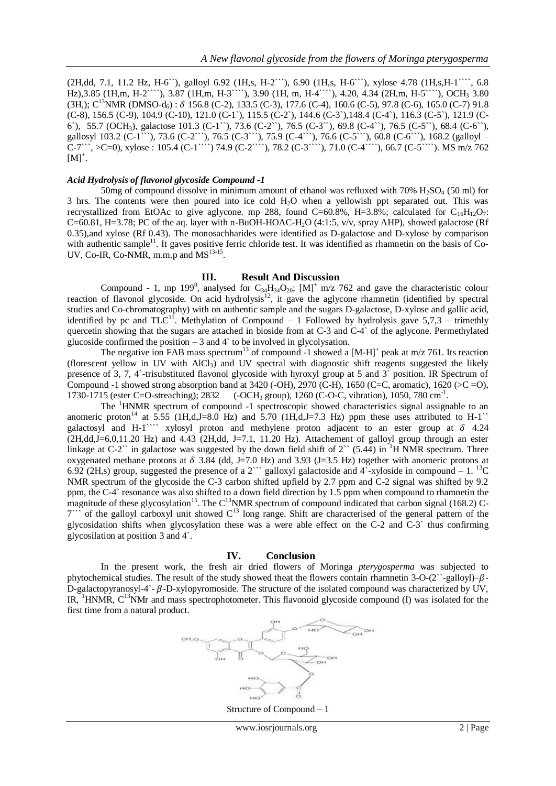(2H,dd, 7.1, 11.2 Hz, H-6``), galloyl 6.92 (1H,s, H-2```), 6.90 (1H,s, H-6```), xylose 4.78 (1H,s,H-1````, 6.8 Hz),3.85 (1H,m, H-2````), 3.87 (1H,m, H-3````), 3.90 (1H, m, H-4````), 4.20, 4.34 (2H,m, H-5````), OCH<sub>3</sub> 3.80  $(3H<sub>2</sub>)$ ; C<sup>13</sup>NMR (DMSO-d<sub>6</sub>) :  $\delta$  156.8 (C-2), 133.5 (C-3), 177.6 (C-4), 160.6 (C-5), 97.8 (C-6), 165.0 (C-7) 91.8 (C-8), 156.5 (C-9), 104.9 (C-10), 121.0 (C-1`), 115.5 (C-2`), 144.6 (C-3`),148.4 (C-4`), 116.3 (C-5`), 121.9 (C-6`), 55.7 (OCH3), galactose 101.3 (C-1``), 73.6 (C-2``), 76.5 (C-3``), 69.8 (C-4``), 76.5 (C-5``), 68.4 (C-6``), gallosyl 103.2 (C-1```), 73.6 (C-2```), 76.5 (C-3```), 75.9 (C-4```), 76.6 (C-5```), 60.8 (C-6```), 168.2 (galloyl – C-7```, >C=0), xylose : 105.4 (C-1````) 74.9 (C-2````), 78.2 (C-3````), 71.0 (C-4````), 66.7 (C-5````). MS m/z 762  $[M]^+.$ 

## *Acid Hydrolysis of flavonol glycoside Compound -1*

50mg of compound dissolve in minimum amount of ethanol was refluxed with 70% H<sub>2</sub>SO<sub>4</sub> (50 ml) for 3 hrs. The contents were then poured into ice cold H2O when a yellowish ppt separated out. This was recrystallized from EtOAc to give aglycone. mp 288, found C=60.8%, H=3.8%; calculated for  $C_{16}H_{12}O_7$ :  $C=60.81$ , H=3.78; PC of the aq. layer with n-BuOH-HOAC-H<sub>2</sub>O (4:1:5, v/v, spray AHP), showed galactose (Rf 0.35),and xylose (Rf 0.43). The monosachharides were identified as D-galactose and D-xylose by comparison with authentic sample $11$ . It gaves positive ferric chloride test. It was identified as rhamnetin on the basis of Co-UV, Co-IR, Co-NMR, m.m.p and  $MS<sup>13-15</sup>$ .

#### **III. Result And Discussion**

Compound - 1, mp 199<sup>0</sup>, analysed for C<sub>34</sub>H<sub>34</sub>O<sub>20</sub>; [M]<sup>+</sup> m/z 762 and gave the characteristic colour reaction of flavonol glycoside. On acid hydrolysis<sup>12</sup>, it gave the aglycone rhamnetin (identified by spectral studies and Co-chromatography) with on authentic sample and the sugars D-galactose, D-xylose and gallic acid, identified by pc and TLC<sup>11</sup>. Methylation of Compound – 1 Followed by hydrolysis gave 5,7,3 – trimethly quercetin showing that the sugars are attached in bioside from at C-3 and C-4` of the aglycone. Permethylated glucoside confirmed the position  $-3$  and  $4$  to be involved in glycolysation.

The negative ion FAB mass spectrum<sup>13</sup> of compound -1 showed a  $[M-H]^+$  peak at m/z 761. Its reaction (florescent yellow in UV with  $AICI_3$ ) and UV spectral with diagnostic shift reagents suggested the likely presence of 3, 7, 4`-trisubstituted flavonol glycoside with hyroxyl group at 5 and 3` position. IR Spectrum of Compound -1 showed strong absorption band at  $3420$  (-OH),  $2970$  (C-H),  $1650$  (C=C, aromatic),  $1620$  (>C=O), 1730-1715 (ester C=O-streaching); 2832 (-OCH<sub>3</sub> group), 1260 (C-O-C, vibration), 1050, 780 cm<sup>-1</sup>.

The <sup>1</sup>HNMR spectrum of compound -1 spectroscopic showed characteristics signal assignable to an anomeric proton<sup>14</sup> at 5.55 (1H,d,J=8.0 Hz) and 5.70 (1H,d,J=7.3 Hz) ppm these uses attributed to H-1<sup>\\*</sup> galactosyl and H-1``` xylosyl proton and methylene proton adjacent to an ester group at  $\delta$  4.24  $(2H,dd,J=6,0,11.20 \text{ Hz})$  and 4.43  $(2H,dd, J=7.1, 11.20 \text{ Hz})$ . Attachement of galloyl group through an ester linkage at C-2 $\degree$  in galactose was suggested by the down field shift of 2 $\degree$  (5.44) in <sup>1</sup>H NMR spectrum. Three oxygenated methane protons at  $\delta$  3.84 (dd, J=7.0 Hz) and 3.93 (J=3.5 Hz) together with anomeric protons at 6.92 (2H,s) group, suggested the presence of a 2<sup>oro</sup> galloxyl galactoside and 4<sup>o</sup>-xyloside in compound – 1. <sup>13</sup>C NMR spectrum of the glycoside the C-3 carbon shifted upfield by 2.7 ppm and C-2 signal was shifted by 9.2 ppm, the C-4` resonance was also shifted to a down field direction by 1.5 ppm when compound to rhamnetin the magnitude of these glycosylation<sup>15</sup>. The C<sup>13</sup>NMR spectrum of compound indicated that carbon signal (168.2) C- $7^{\prime\prime}$  of the galloyl carboxyl unit showed  $C^{13}$  long range. Shift are characterised of the general pattern of the glycosidation shifts when glycosylation these was a were able effect on the C-2 and C-3` thus confirming glycosilation at position 3 and 4`.

#### **IV. Conclusion**

In the present work, the fresh air dried flowers of Moringa *pterygosperma* was subjected to phytochemical studies. The result of the study showed theat the flowers contain rhamnetin 3-O-(2``-galloyl)– $\beta$ -D-galactopyranosyl-4`- $\beta$ -D-xylopyromoside. The structure of the isolated compound was characterized by UV, IR,  ${}^{1}$ HNMR, C<sup>13</sup>NMr and mass spectrophotometer. This flavonoid glycoside compound (I) was isolated for the first time from a natural product.



Structure of Compound – 1